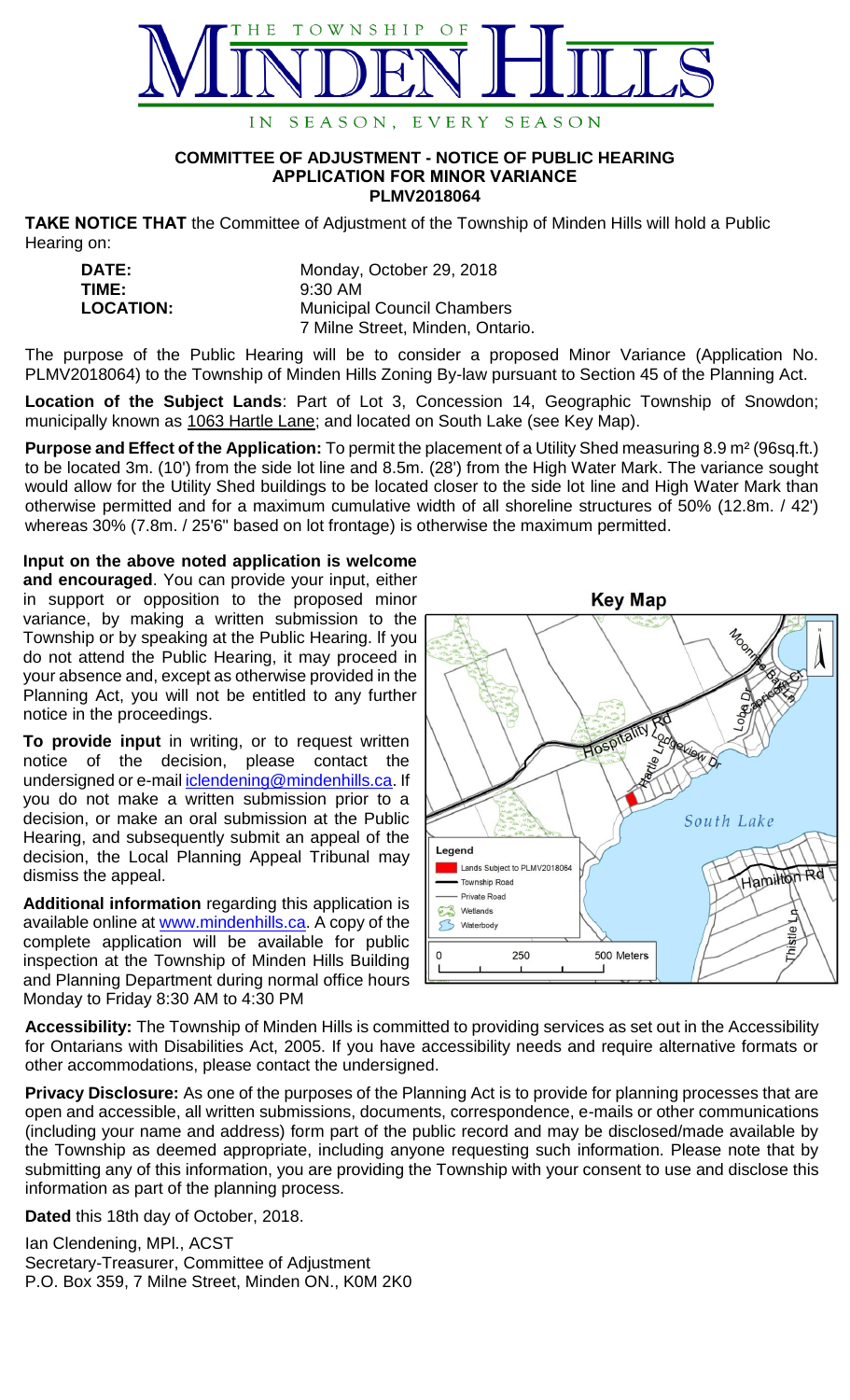

## **COMMITTEE OF ADJUSTMENT - NOTICE OF PUBLIC HEARING APPLICATION FOR MINOR VARIANCE PLMV2018064**

**TAKE NOTICE THAT** the Committee of Adjustment of the Township of Minden Hills will hold a Public Hearing on:

| <b>DATE:</b>     | Monday, October 29, 2018          |
|------------------|-----------------------------------|
| TIME:            | $9:30$ AM                         |
| <b>LOCATION:</b> | <b>Municipal Council Chambers</b> |
|                  | 7 Milne Street, Minden, Ontario.  |

The purpose of the Public Hearing will be to consider a proposed Minor Variance (Application No. PLMV2018064) to the Township of Minden Hills Zoning By-law pursuant to Section 45 of the Planning Act.

**Location of the Subject Lands**: Part of Lot 3, Concession 14, Geographic Township of Snowdon; municipally known as 1063 Hartle Lane; and located on South Lake (see Key Map).

**Purpose and Effect of the Application:** To permit the placement of a Utility Shed measuring 8.9 m² (96sq.ft.) to be located 3m. (10') from the side lot line and 8.5m. (28') from the High Water Mark. The variance sought would allow for the Utility Shed buildings to be located closer to the side lot line and High Water Mark than otherwise permitted and for a maximum cumulative width of all shoreline structures of 50% (12.8m. / 42') whereas 30% (7.8m. / 25'6" based on lot frontage) is otherwise the maximum permitted.

**Input on the above noted application is welcome** 

**and encouraged**. You can provide your input, either in support or opposition to the proposed minor variance, by making a written submission to the Township or by speaking at the Public Hearing. lf you do not attend the Public Hearing, it may proceed in your absence and, except as otherwise provided in the Planning Act, you will not be entitled to any further notice in the proceedings.

**To provide input** in writing, or to request written notice of the decision, please contact the undersigned or e-mail [iclendening@mindenhills.ca.](mailto:iclendening@mindenhills.ca) If you do not make a written submission prior to a decision, or make an oral submission at the Public Hearing, and subsequently submit an appeal of the decision, the Local Planning Appeal Tribunal may dismiss the appeal.

**Additional information** regarding this application is available online at [www.mindenhills.ca.](http://www.mindenhills.ca/) A copy of the complete application will be available for public inspection at the Township of Minden Hills Building and Planning Department during normal office hours Monday to Friday 8:30 AM to 4:30 PM



**Accessibility:** The Township of Minden Hills is committed to providing services as set out in the Accessibility for Ontarians with Disabilities Act, 2005. If you have accessibility needs and require alternative formats or other accommodations, please contact the undersigned.

**Privacy Disclosure:** As one of the purposes of the Planning Act is to provide for planning processes that are open and accessible, all written submissions, documents, correspondence, e-mails or other communications (including your name and address) form part of the public record and may be disclosed/made available by the Township as deemed appropriate, including anyone requesting such information. Please note that by submitting any of this information, you are providing the Township with your consent to use and disclose this information as part of the planning process.

**Dated** this 18th day of October, 2018.

Ian Clendening, MPl., ACST Secretary-Treasurer, Committee of Adjustment P.O. Box 359, 7 Milne Street, Minden ON., K0M 2K0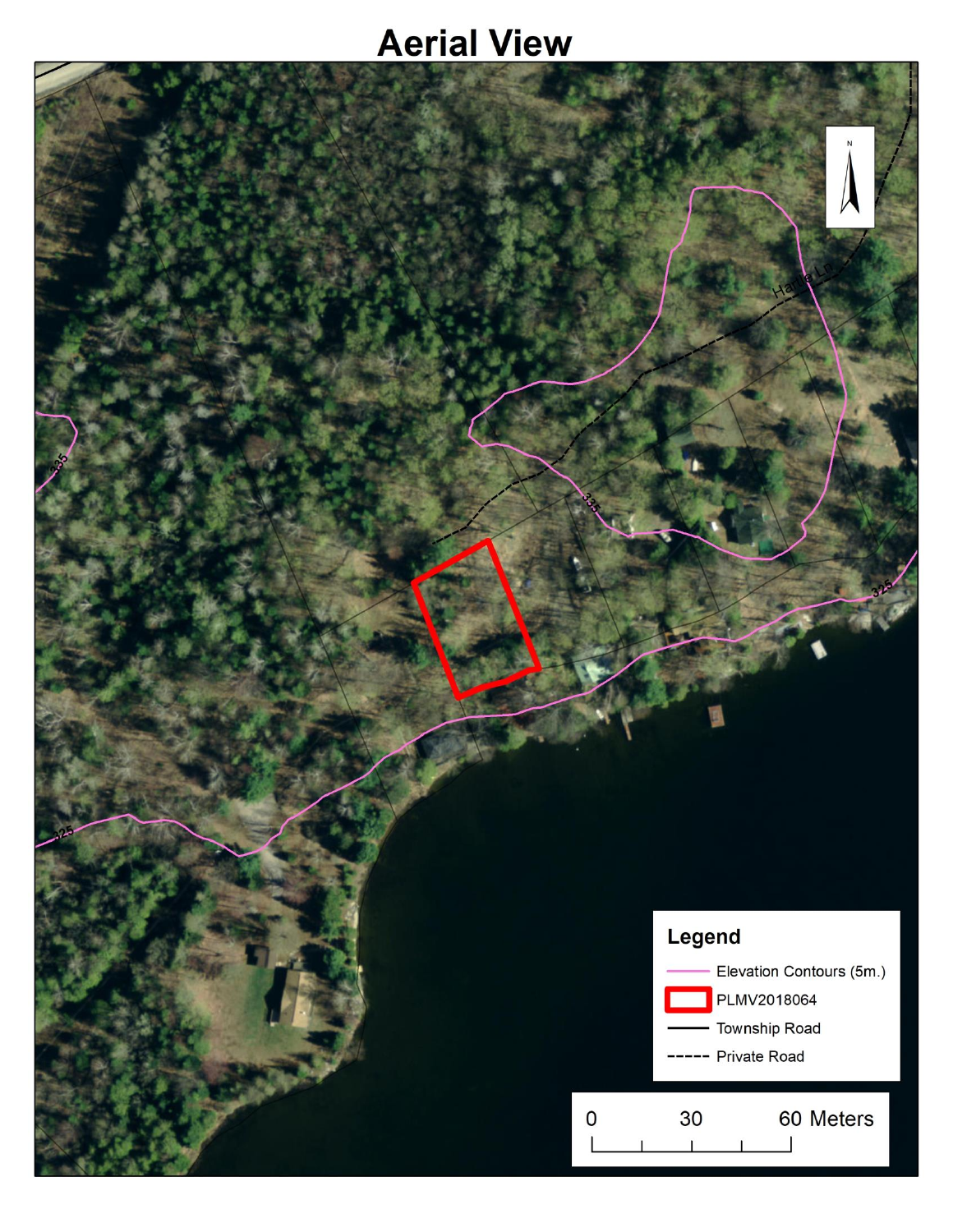## **Aerial View**

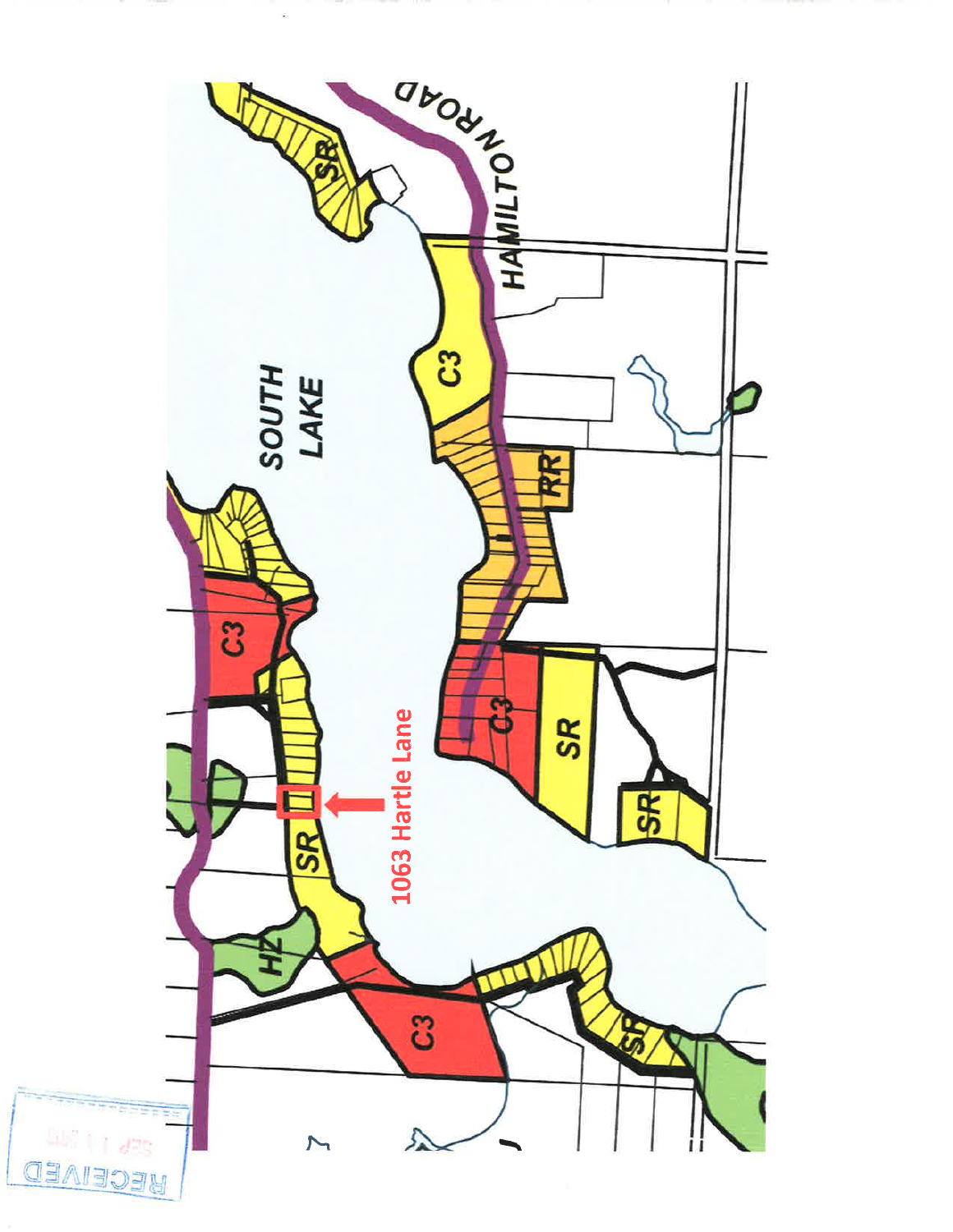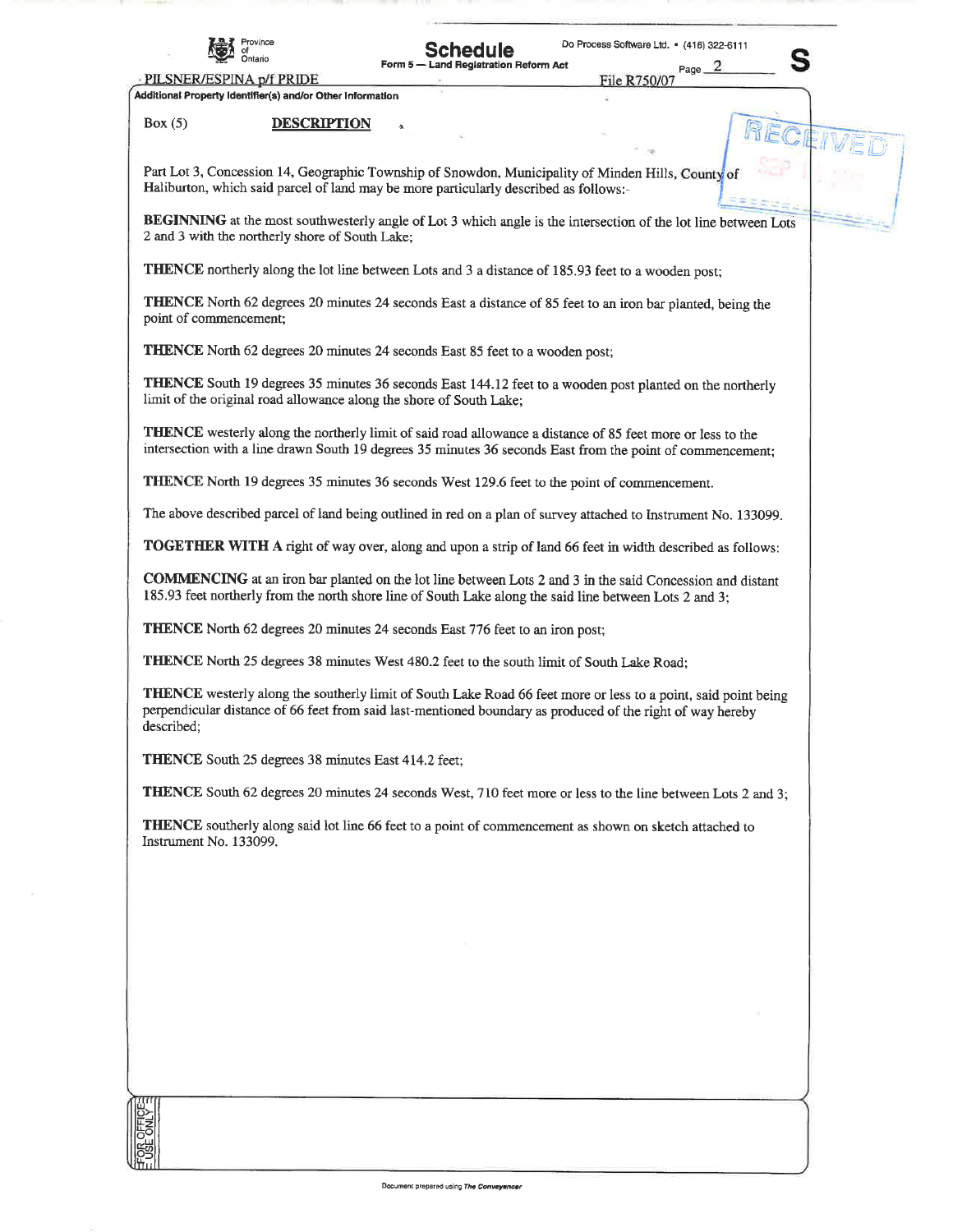

## **ichedule** Form 5

**Land Registration Reform Act** 

Page File R750/07

Do Process Software Ltd. · (416) 322-6111

PILSNER/ESPINA p/f PRIDE Additional Property Identifier(s) and/or Other Information

## **DESCRIPTION**  $Box(5)$

Part Lot 3, Concession 14, Geographic Township of Snowdon, Municipality of Minden Hills, County of Haliburton, which said parcel of land may be more particularly described as follows:-

BEGINNING at the most southwesterly angle of Lot 3 which angle is the intersection of the lot line between Lots 2 and 3 with the northerly shore of South Lake;

**THENCE** northerly along the lot line between Lots and 3 a distance of 185.93 feet to a wooden post:

THENCE North 62 degrees 20 minutes 24 seconds East a distance of 85 feet to an iron bar planted, being the point of commencement;

**THENCE** North 62 degrees 20 minutes 24 seconds East 85 feet to a wooden post;

THENCE South 19 degrees 35 minutes 36 seconds East 144.12 feet to a wooden post planted on the northerly limit of the original road allowance along the shore of South Lake;

**THENCE** westerly along the northerly limit of said road allowance a distance of 85 feet more or less to the intersection with a line drawn South 19 degrees 35 minutes 36 seconds East from the point of commencement;

THENCE North 19 degrees 35 minutes 36 seconds West 129.6 feet to the point of commencement.

The above described parcel of land being outlined in red on a plan of survey attached to Instrument No. 133099.

**TOGETHER WITH A** right of way over, along and upon a strip of land 66 feet in width described as follows:

**COMMENCING** at an iron bar planted on the lot line between Lots 2 and 3 in the said Concession and distant 185.93 feet northerly from the north shore line of South Lake along the said line between Lots 2 and 3;

**THENCE** North 62 degrees 20 minutes 24 seconds East 776 feet to an iron post;

**THENCE** North 25 degrees 38 minutes West 480.2 feet to the south limit of South Lake Road;

THENCE westerly along the southerly limit of South Lake Road 66 feet more or less to a point, said point being perpendicular distance of 66 feet from said last-mentioned boundary as produced of the right of way hereby described;

**THENCE** South 25 degrees 38 minutes East 414.2 feet;

**THENCE** South 62 degrees 20 minutes 24 seconds West, 710 feet more or less to the line between Lots 2 and 3:

THENCE southerly along said lot line 66 feet to a point of commencement as shown on sketch attached to Instrument No. 133099.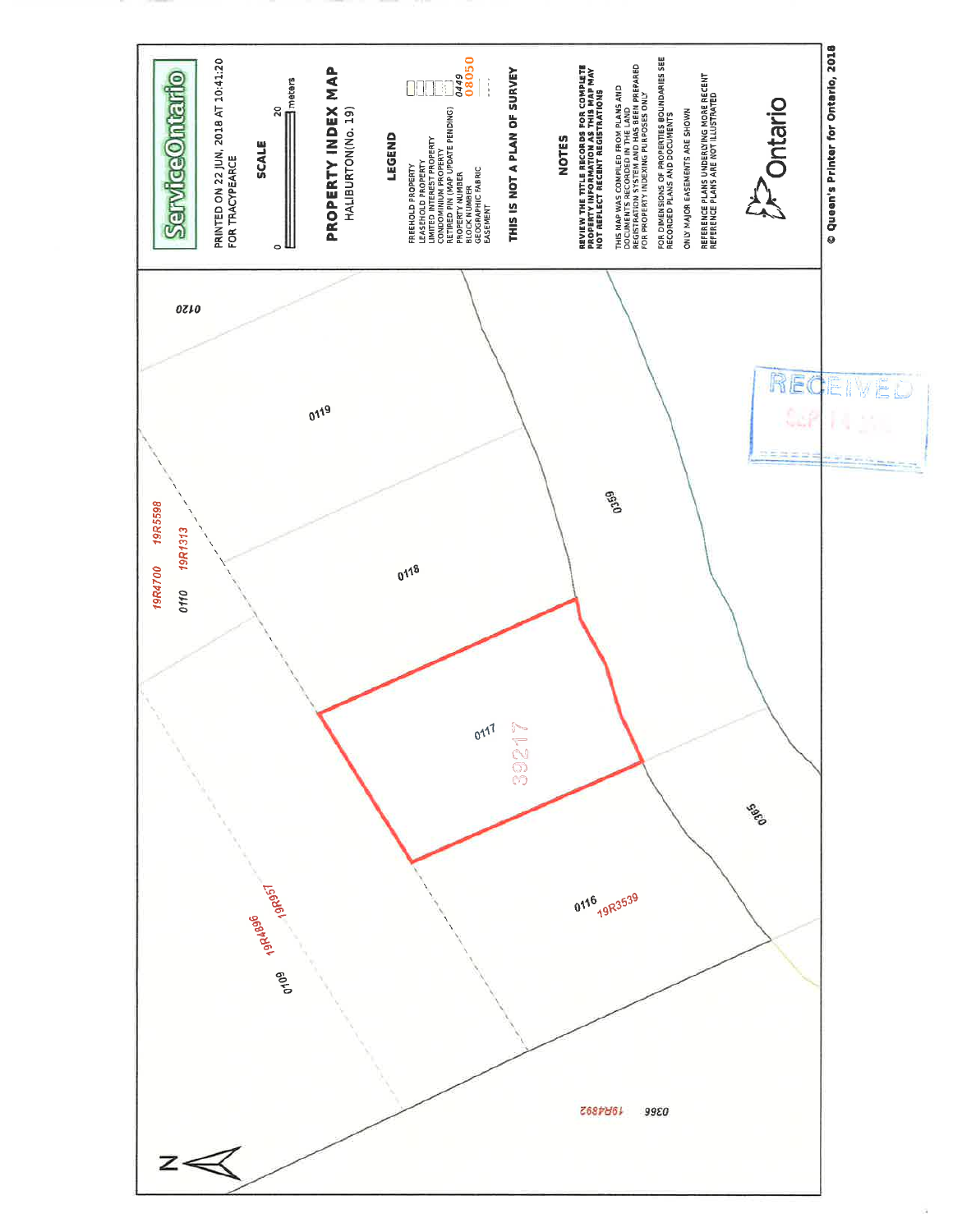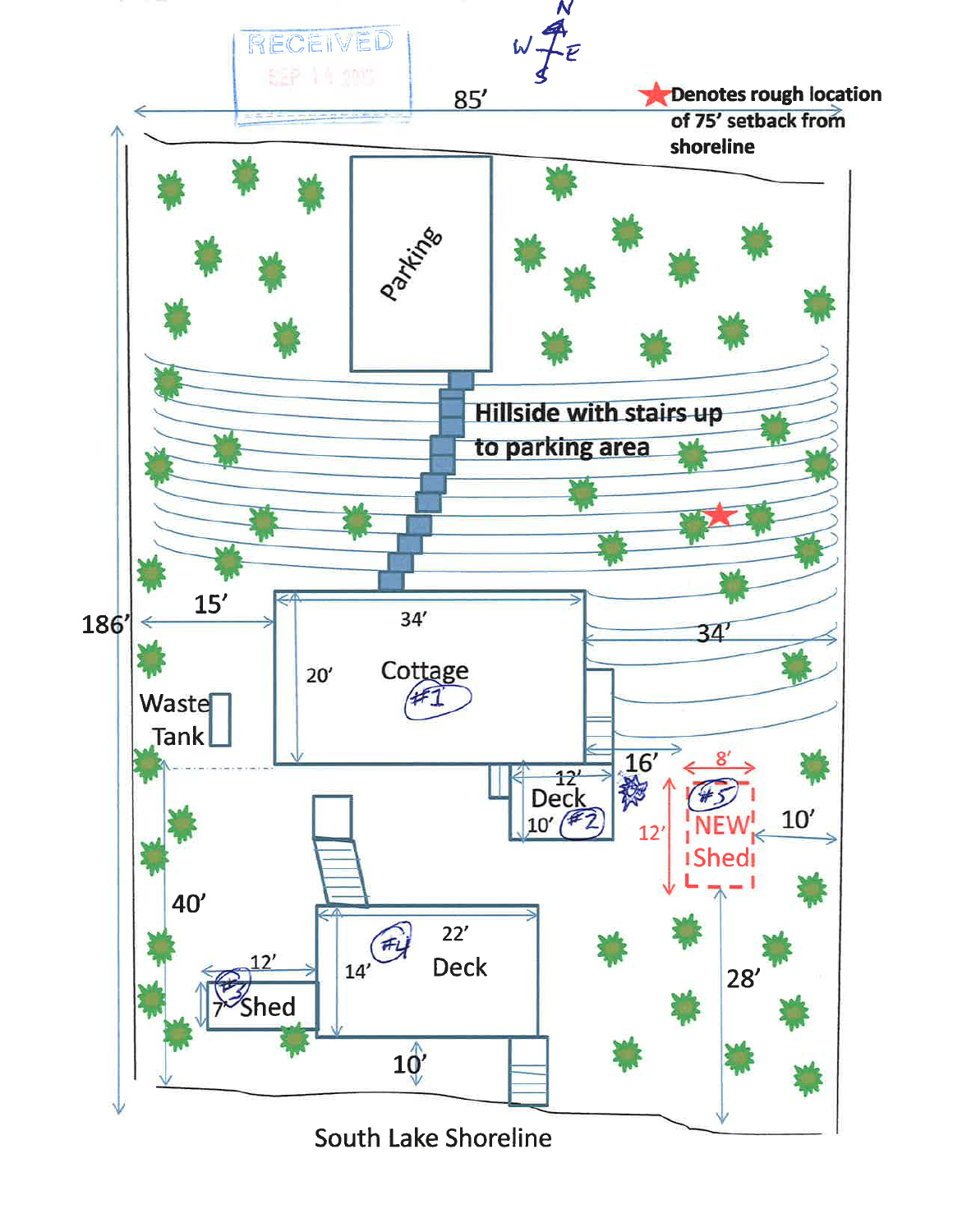